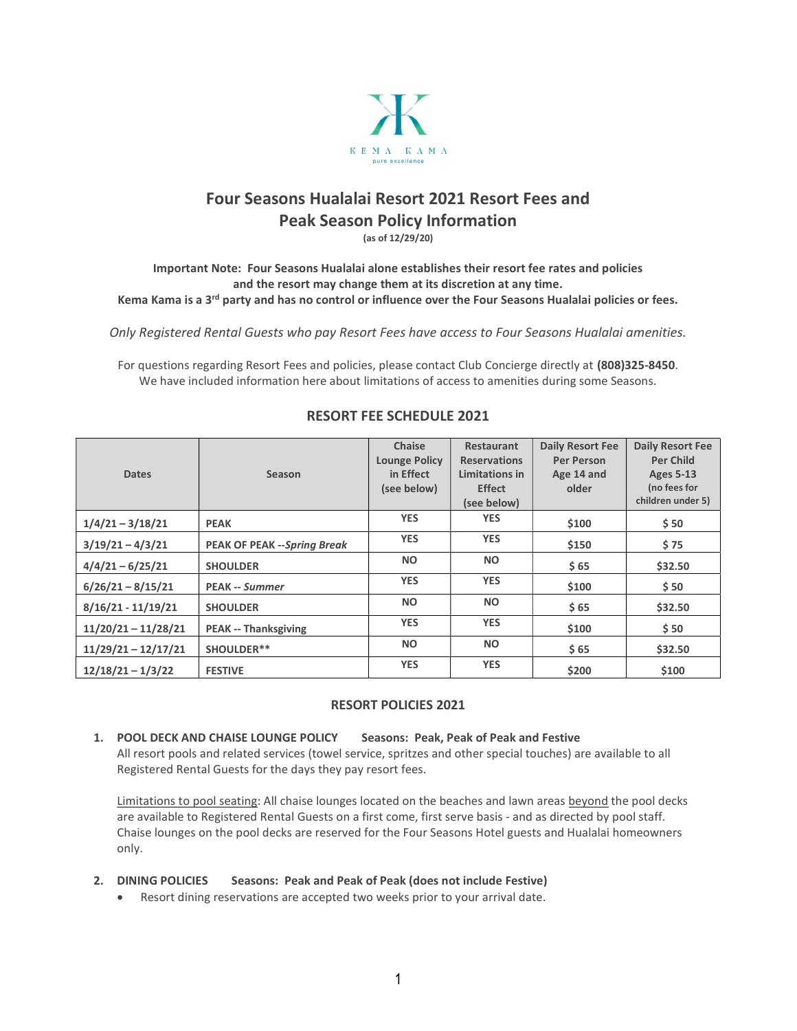

# Four Seasons Hualalai Resort 2021 Resort Fees and Peak Season Policy Information

(as of 12/29/20)

Important Note: Four Seasons Hualalai alone establishes their resort fee rates and policies and the resort may change them at its discretion at any time. Kema Kama is a 3<sup>rd</sup> party and has no control or influence over the Four Seasons Hualalai policies or fees.

Only Registered Rental Guests who pay Resort Fees have access to Four Seasons Hualalai amenities.

For questions regarding Resort Fees and policies, please contact Club Concierge directly at (808)325-8450. We have included information here about limitations of access to amenities during some Seasons.

|                       |                                    | <b>Chaise</b>        | Restaurant          | <b>Daily Resort Fee</b> | <b>Daily Resort Fee</b> |
|-----------------------|------------------------------------|----------------------|---------------------|-------------------------|-------------------------|
|                       |                                    | <b>Lounge Policy</b> | <b>Reservations</b> | <b>Per Person</b>       | <b>Per Child</b>        |
| <b>Dates</b>          | <b>Season</b>                      | in Effect            | Limitations in      | Age 14 and              | <b>Ages 5-13</b>        |
|                       |                                    | (see below)          | <b>Effect</b>       | older                   | (no fees for            |
|                       |                                    |                      | (see below)         |                         | children under 5)       |
| $1/4/21 - 3/18/21$    | <b>PEAK</b>                        | <b>YES</b>           | <b>YES</b>          | \$100                   | \$50                    |
| $3/19/21 - 4/3/21$    | <b>PEAK OF PEAK --Spring Break</b> | <b>YES</b>           | <b>YES</b>          | \$150                   | \$75                    |
| $4/4/21 - 6/25/21$    | <b>SHOULDER</b>                    | <b>NO</b>            | <b>NO</b>           | \$65                    | \$32.50                 |
| $6/26/21 - 8/15/21$   | <b>PEAK -- Summer</b>              | <b>YES</b>           | <b>YES</b>          | \$100                   | \$50                    |
| $8/16/21 - 11/19/21$  | <b>SHOULDER</b>                    | <b>NO</b>            | <b>NO</b>           | \$65                    | \$32.50                 |
| $11/20/21 - 11/28/21$ | <b>PEAK -- Thanksgiving</b>        | <b>YES</b>           | <b>YES</b>          | \$100                   | \$50                    |
| $11/29/21 - 12/17/21$ | SHOULDER**                         | <b>NO</b>            | <b>NO</b>           | \$65                    | \$32.50                 |
| $12/18/21 - 1/3/22$   | <b>FESTIVE</b>                     | <b>YES</b>           | <b>YES</b>          | \$200                   | \$100                   |

## RESORT FEE SCHEDULE 2021

#### RESORT POLICIES 2021

## 1. POOL DECK AND CHAISE LOUNGE POLICY Seasons: Peak, Peak of Peak and Festive

All resort pools and related services (towel service, spritzes and other special touches) are available to all Registered Rental Guests for the days they pay resort fees.

Limitations to pool seating: All chaise lounges located on the beaches and lawn areas beyond the pool decks are available to Registered Rental Guests on a first come, first serve basis - and as directed by pool staff. Chaise lounges on the pool decks are reserved for the Four Seasons Hotel guests and Hualalai homeowners only.

### 2. DINING POLICIES Seasons: Peak and Peak of Peak (does not include Festive)

Resort dining reservations are accepted two weeks prior to your arrival date.